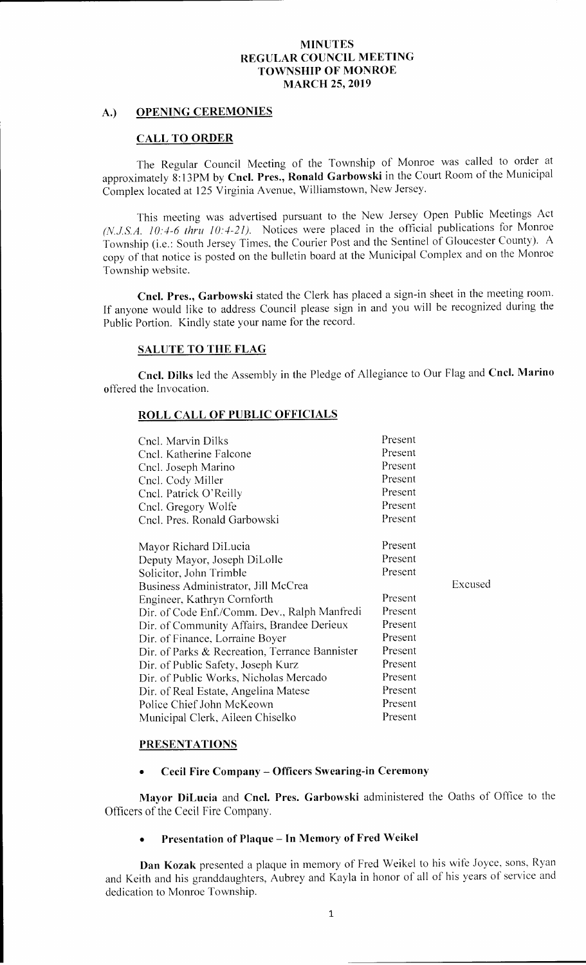### A.) OPENING CEREMONIES

### CALL TO ORDER

The Regular Council Meeting of the Township of Monroe was called to order at approximately 8:13PM by Cncl. Pres., Ronald Garbowski in the Court Room of the Municipal Complex located at 125 Virginia Avenue, Williamstown, New Jersey.

This meeting was advertised pursuant to the New Jersey Open Public Meetings Act (N.J.S.A. 10:4-6 thru 10:4-21). Notices were placed in the official publications for Monroe Township (i.e.: South Jersey Times, the Courier Post and the Sentinel of Gloucester County). A copy of that notice is posted on the bulletin board at the Municipal Complex and on the Monroe Township website.

Cncl. Pres., Garbowski stated the Clerk has placed a sign-in sheet in the meeting room. If anyone would like to address Council please sign in and you will be recognized during the Public Portion. Kindly state your name for the record.

### SALUTE TO THE FLAG

Cncl. Dilks led the Assembly in the Pledge of Allegiance to Our Flag and Cncl. Marino offered the Invocation.

### ROLL CALL OF PUBLIC OFFICIALS

| Cncl. Marvin Dilks<br>Cncl. Katherine Falcone<br>Cncl. Joseph Marino<br>Cnel. Cody Miller<br>Cncl. Patrick O'Reilly<br>Cncl. Gregory Wolfe<br>Cncl. Pres. Ronald Garbowski | Present<br>Present<br>Present<br>Present<br>Present<br>Present<br>Present |         |
|----------------------------------------------------------------------------------------------------------------------------------------------------------------------------|---------------------------------------------------------------------------|---------|
| Mayor Richard DiLucia                                                                                                                                                      | Present                                                                   |         |
| Deputy Mayor, Joseph DiLolle                                                                                                                                               | Present                                                                   |         |
| Solicitor, John Trimble                                                                                                                                                    | Present                                                                   |         |
| Business Administrator, Jill McCrea                                                                                                                                        |                                                                           | Excused |
| Engineer, Kathryn Cornforth                                                                                                                                                | Present                                                                   |         |
| Dir. of Code Enf./Comm. Dev., Ralph Manfredi                                                                                                                               | Present                                                                   |         |
| Dir. of Community Affairs, Brandee Derieux                                                                                                                                 | Present                                                                   |         |
| Dir. of Finance, Lorraine Boyer                                                                                                                                            | Present                                                                   |         |
| Dir. of Parks & Recreation, Terrance Bannister                                                                                                                             | Present                                                                   |         |
| Dir. of Public Safety, Joseph Kurz                                                                                                                                         | Present                                                                   |         |
| Dir. of Public Works, Nicholas Mercado                                                                                                                                     | Present                                                                   |         |
| Dir. of Real Estate, Angelina Matese                                                                                                                                       | Present                                                                   |         |
| Police Chief John McKeown                                                                                                                                                  | Present                                                                   |         |
| Municipal Clerk, Aileen Chiselko                                                                                                                                           | Present                                                                   |         |

### PRESENTATIONS

Cecil Fire Company— Officers Swearing-in Ceremony

Mayor DiLucia and Cncl. Pres. Garbowski administered the Oaths of Office to the Officers of the Cecil Fire Company.

# Presentation of Plaque— In Memory of Fred Weikel

Dan Kozak presented a plaque in memory of Fred Weikel to his wife Joyce, sons, Ryan and Keith and his granddaughters, Aubrey and Kayla in honor of all of his years of service and dedication to Monroe Township.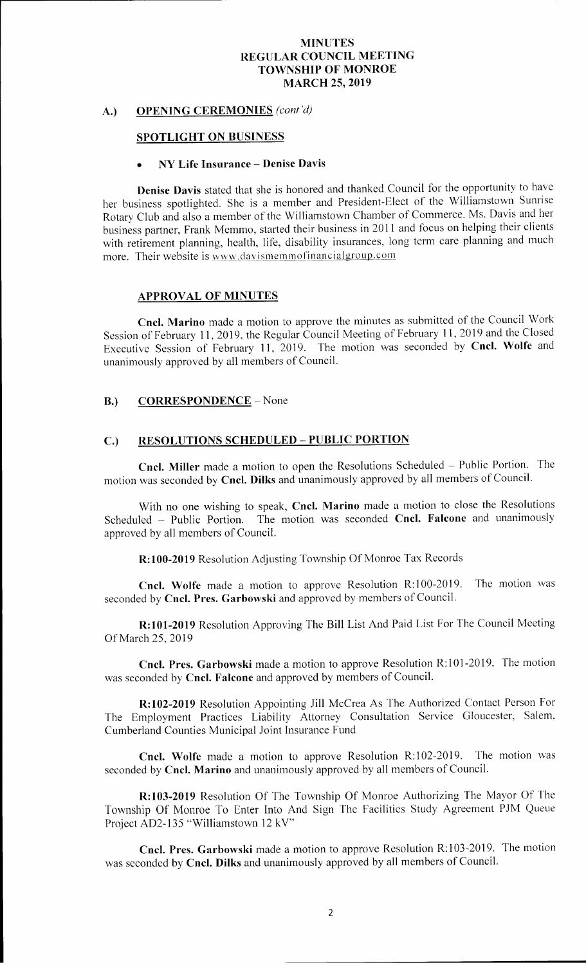# A.) OPENING CEREMONIES (cont'd)

### SPOTLIGHT ON BUSINESS

#### NY Life Insurance—Denise Davis

Denise Davis stated that she is honored and thanked Council for the opportunity to have her business spotlighted. She is a member and President-Elect of the Williamstown Sunrise Rotary Club and also <sup>a</sup> member of the Williamstown Chamber of Commerce. Ms. Davis and her business partner, Frank Memmo, started their business in 2011 and focus on helping their clients with retirement planning, health, life, disability insurances, long term care planning and much more. Their website is www.davismemmofinancialgroup.com

### APPROVAL OF MINUTES

Cncl. Marino made <sup>a</sup> motion to approve the minutes as submitted of the Council Work Session of February 11, 2019, the Regular Council Meeting of February 11, 2019 and the Closed Executive Session of February 11, 2019. The motion was seconded by Cncl. Wolfe and unanimously approved by all members of Council.

# B.) CORRESPONDENCE - None

### C.) RESOLUTIONS SCHEDULED —PUBLIC PORTION

Cncl. Miller made <sup>a</sup> motion to open the Resolutions Scheduled — Public Portion. The motion was seconded by Cncl. Dilks and unanimously approved by all members of Council.

With no one wishing to speak, Cncl. Marino made a motion to close the Resolutions Scheduled – Public Portion. The motion was seconded Cncl. Falcone and unanimously approved by all members of Council.

R: 100-2019 Resolution Adjusting Township Of Monroe Tax Records

Cncl. Wolfe made a motion to approve Resolution R:100-2019. The motion was seconded by Cncl. Pres. Garbowski and approved by members of Council.

R: 101-2019 Resolution Approving The Bill List And Paid List For The Council Meeting Of March 25, 2019

Cncl. Pres. Garbowski made a motion to approve Resolution R:101-2019. The motion was seconded by **Cncl. Falcone** and approved by members of Council.

R: 102-2019 Resolution Appointing Jill McCrea As The Authorized Contact Person For The Employment Practices Liability Attorney Consultation Service Gloucester, Salem, Cumberland Counties Municipal Joint Insurance Fund

Cncl. Wolfe made a motion to approve Resolution R:102-2019. The motion was seconded by Cncl. Marino and unanimously approved by all members of Council.

R: 103-2019 Resolution Of The Township Of Monroe Authorizing The Mayor Of The Township Of Monroe To Enter Into And Sign The Facilities Study Agreement PJM Queue Project AD2-135 "Williamstown 12 kV"

Cncl. Pres. Garbowski made a motion to approve Resolution R:103-2019. The motion was seconded by Cncl. Dilks and unanimously approved by all members of Council.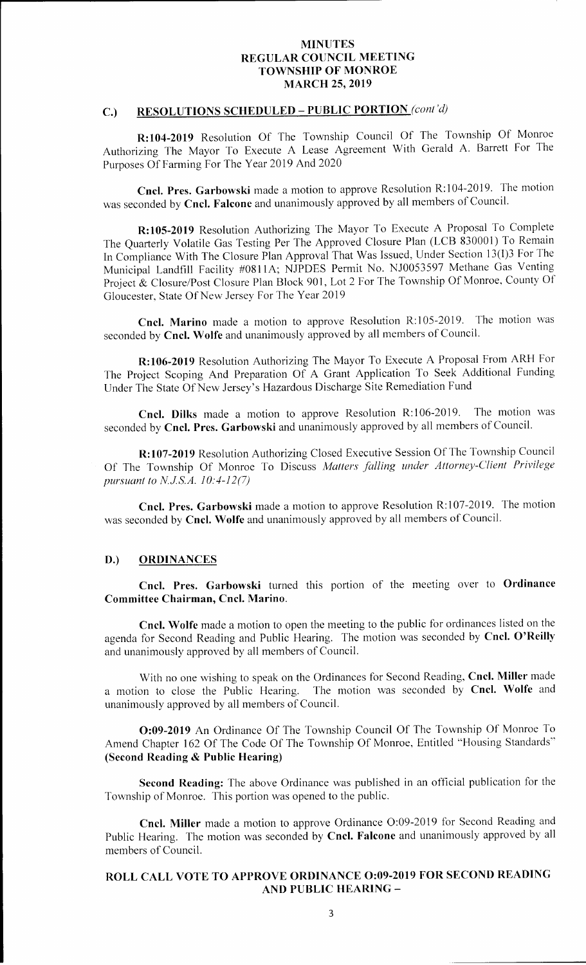# C.) RESOLUTIONS SCHEDULED - PUBLIC PORTION (cont'd)

R: 104-2019 Resolution Of The Township Council Of The Township Of Monroe Authorizing The Mayor To Execute <sup>A</sup> Lease Agreement With Gerald A. Barrett For The Purposes Of Farming For The Year 2019 And 2020

Cncl. Pres. Garbowski made a motion to approve Resolution R:104-2019. The motion was seconded by Cncl. Falcone and unanimously approved by all members of Council.

R: 105-2019 Resolution Authorizing The Mayor To Execute A Proposal To Complete The Quarterly Volatile Gas Testing Per The Approved Closure Plan ( LCB 830001) To Remain In Compliance With The Closure Plan Approval That Was Issued, Under Section 13(1)3 For The Municipal Landfill Facility #0811A; NJPDES Permit No. NJ0053597 Methane Gas Venting Project & Closure/Post Closure Plan Block 901, Lot 2 For The Township Of Monroe, County Of Gloucester, State Of New Jersey For The Year 2019

Cncl. Marino made a motion to approve Resolution R:105-2019. The motion was seconded by Cncl. Wolfe and unanimously approved by all members of Council.

R: 106-2019 Resolution Authorizing The Mayor To Execute A Proposal From ARH For The Project Scoping And Preparation Of A Grant Application To Seek Additional Funding Under The State Of New Jersey' <sup>s</sup> Hazardous Discharge Site Remediation Fund

Cncl. Dilks made a motion to approve Resolution R:106-2019. The motion was seconded by Cncl. Pres. Garbowski and unanimously approved by all members of Council.

R: 107-2019 Resolution Authorizing Closed Executive Session Of The Township Council Of The Township Of Monroe To Discuss Matters falling under Attorney-Client Privilege pursuant to N.J.S.A.  $10:4-12(7)$ 

Cncl. Pres. Garbowski made a motion to approve Resolution R:107-2019. The motion was seconded by Cncl. Wolfe and unanimously approved by all members of Council.

#### D.) ORDINANCES

Cncl. Pres. Garbowski turned this portion of the meeting over to Ordinance Committee Chairman, Cncl. Marino.

Cncl. Wolfe made <sup>a</sup> motion to open the meeting to the public for ordinances listed on the agenda for Second Reading and Public Hearing. The motion was seconded by Cncl. O'Reilly and unanimously approved by all members of Council.

With no one wishing to speak on the Ordinances for Second Reading, Cncl. Miller made<br>a motion to close the Public Hearing. The motion was seconded by Cncl. Wolfe and The motion was seconded by Cncl. Wolfe and unanimously approved by all members of Council.

**0:09-2019** An Ordinance Of The Township Council Of The Township Of Monroe To Amend Chapter 162 Of The Code Of The Township Of Monroe, Entitled "Housing Standards" Second Reading & Public Hearing)

Second Reading: The above Ordinance was published in an official publication for the Township of Monroe. This portion was opened to the public.

Cncl. Miller made a motion to approve Ordinance O:09-2019 for Second Reading and Public Hearing. The motion was seconded by Cncl. Falcone and unanimously approved by all members of Council.

# ROLL CALL VOTE TO APPROVE ORDINANCE 0:09-2019 FOR SECOND READING AND PUBLIC HEARING —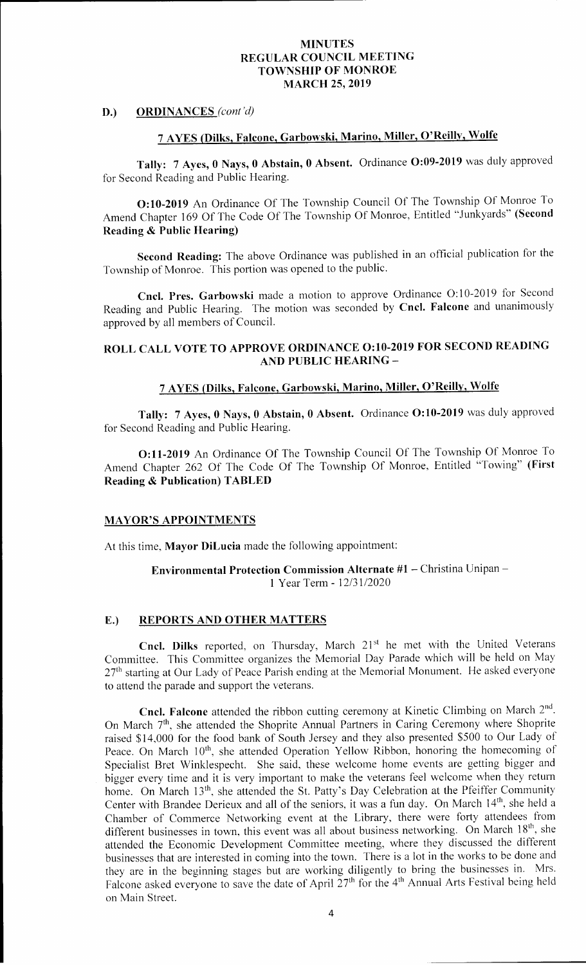D.) ORDINANCES (cont'd)

# <sup>7</sup> AYES (Dilks, Falcone, Garbowski, Marino, Miller, O' Reilly, Wolfe

Tally: 7 Ayes, 0 Nays, 0 Abstain, 0 Absent. Ordinance O:09-2019 was duly approved for Second Reading and Public Hearing.

0: 10- 2019 An Ordinance Of The Township Council Of The Township Of Monroe To Amend Chapter 169 Of The Code Of The Township Of Monroe, Entitled "Junkyards" (Second Reading & Public Hearing)

Second Reading: The above Ordinance was published in an official publication for the Township of Monroe. This portion was opened to the public.

Cncl. Pres. Garbowski made a motion to approve Ordinance O:10-2019 for Second Reading and Public Hearing. The motion was seconded by Cncl. Falcone and unanimously approved by all members of Council.

# ROLL CALL VOTE TO APPROVE ORDINANCE 0:10-2019 FOR SECOND READING AND PUBLIC HEARING—

# <sup>7</sup> AYES (Dilks, Falcone, Garbowski, Marino, Miller, O' Reilly, Wolfe

Tally: 7 Ayes, 0 Nays, 0 Abstain, 0 Absent. Ordinance O:10-2019 was duly approved for Second Reading and Public Hearing.

0: 11- 2019 An Ordinance Of The Township Council Of The Township Of Monroe To Amend Chapter 262 Of The Code Of The Township Of Monroe, Entitled "Towing" (First Reading & Publication) TABLED

### **MAYOR'S APPOINTMENTS**

At this time, Mayor DiLucia made the following appointment:

## Environmental Protection Commission Alternate #1 — Christina Unipan— 1 Year Term - 12/31/2020

### E.) REPORTS AND OTHER MATTERS

Cncl. Dilks reported, on Thursday, March 21st he met with the United Veterans Committee. This Committee organizes the Memorial Day Parade which will be held on May  $27<sup>th</sup>$  starting at Our Lady of Peace Parish ending at the Memorial Monument. He asked everyone to attend the parade and support the veterans.

**Cncl. Falcone** attended the ribbon cutting ceremony at Kinetic Climbing on March  $2<sup>nd</sup>$ . On March 7<sup>th</sup>, she attended the Shoprite Annual Partners in Caring Ceremony where Shoprite raised \$14,000 for the food bank of South Jersey and they also presented \$500 to Our Lady of Peace. On March 10<sup>th</sup>, she attended Operation Yellow Ribbon, honoring the homecoming of Specialist Bret Winklespecht. She said, these welcome home events are getting bigger and bigger every time and it is very important to make the veterans feel welcome when they return home. On March 13<sup>th</sup>, she attended the St. Patty's Day Celebration at the Pfeiffer Community Center with Brandee Derieux and all of the seniors, it was a fun day. On March 14<sup>th</sup>, she held a Chamber of Commerce Networking event at the Library, there were forty attendees from different businesses in town, this event was all about business networking. On March 18<sup>th</sup>, she attended the Economic Development Committee meeting, where they discussed the different businesses that are interested in coming into the town. There is <sup>a</sup> lot in the works to be done and they are in the beginning stages but are working diligently to bring the businesses in. Mrs. Falcone asked everyone to save the date of April 27<sup>th</sup> for the 4<sup>th</sup> Annual Arts Festival being held on Main Street.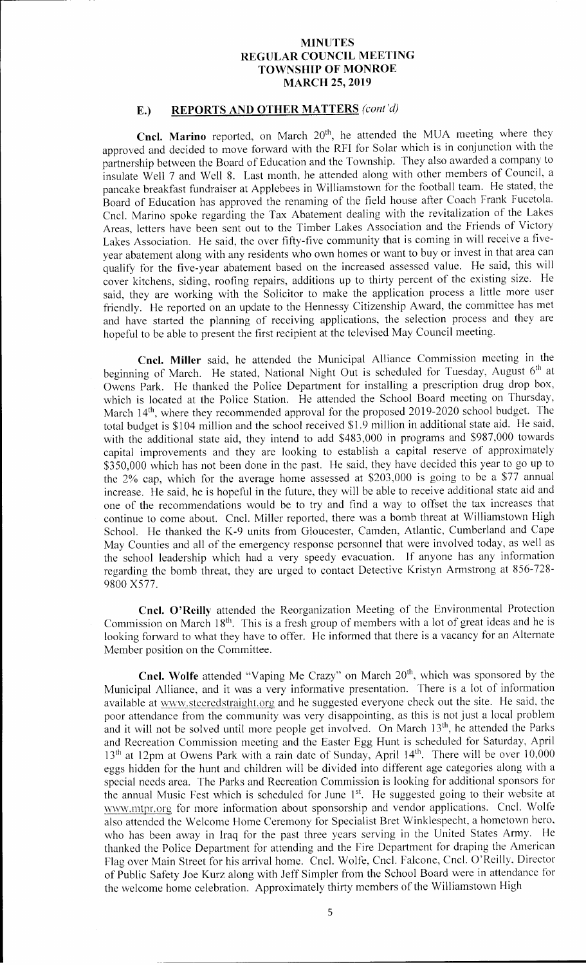### E.) REPORTS AND OTHER MATTERS (cont'd)

Cncl. Marino reported, on March 20<sup>th</sup>, he attended the MUA meeting where they approved and decided to move forward with the RFI for Solar which is in conjunction with the partnership between the Board of Education and the Township. They also awarded <sup>a</sup> company to insulate Well <sup>7</sup> and Well 8. Last month, he attended along with other members of Council, a pancake breakfast fundraiser at Applebees in Williamstown for the football team. He stated, the Board of Education has approved the renaming of the field house after Coach Frank Fucetola. Cncl. Marino spoke regarding the Tax Abatement dealing with the revitalization of the Lakes Areas, letters have been sent out to the Timber Lakes Association and the Friends of Victory Lakes Association. He said, the over fifty-five community that is coming in will receive <sup>a</sup> fiveyear abatement along with any residents who own homes or want to buy or invest in that area can qualify for the five-year abatement based on the increased assessed value. He said, this will cover kitchens, siding, roofing repairs, additions up to thirty percent of the existing size. He said, they are working with the Solicitor to make the application process <sup>a</sup> little more user friendly. He reported on an update to the Hennessy Citizenship Award, the committee has met and have started the planning of receiving applications, the selection process and they are hopeful to be able to present the first recipient at the televised May Council meeting.

Cncl. Miller said, he attended the Municipal Alliance Commission meeting in the beginning of March. He stated, National Night Out is scheduled for Tuesday, August 6<sup>th</sup> at Owens Park. He thanked the Police Department for installing a prescription drug drop box, which is located at the Police Station. He attended the School Board meeting on Thursday, March 14<sup>th</sup>, where they recommended approval for the proposed 2019-2020 school budget. The total budget is \$104 million and the school received \$1.9 million in additional state aid. He said, with the additional state aid, they intend to add \$483,000 in programs and \$987,000 towards capital improvements and they are looking to establish a capital reserve of approximately 350, 000 which has not been done in the past. He said, they have decided this year to go up to the 2% cap, which for the average home assessed at \$203,000 is going to be a \$77 annual increase. He said, he is hopeful in the future, they will be able to receive additional state aid and one of the recommendations would be to try and find a way to offset the tax increases that continue to come about. Cncl. Miller reported, there was a bomb threat at Williamstown High School. He thanked the K-9 units from Gloucester, Camden, Atlantic, Cumberland and Cape May Counties and all of the emergency response personnel that were involved today, as well as the school leadership which had <sup>a</sup> very speedy evacuation. If anyone has any information regarding the bomb threat, they are urged to contact Detective Kristyn Armstrong at 856-728-9800 X577.

Cncl. O' Reilly attended the Reorganization Meeting of the Environmental Protection Commission on March  $18<sup>th</sup>$ . This is a fresh group of members with a lot of great ideas and he is looking forward to what they have to offer. He informed that there is <sup>a</sup> vacancy for an Alternate Member position on the Committee.

Cncl. Wolfe attended "Vaping Me Crazy" on March 20<sup>th</sup>, which was sponsored by the Municipal Alliance, and it was <sup>a</sup> very informative presentation. There is <sup>a</sup> lot of information available at www.steeredstraight.org and he suggested everyone check out the site. He said, the poor attendance from the community was very disappointing, as this is not just a local problem and it will not be solved until more people get involved. On March 13<sup>th</sup>, he attended the Parks and Recreation Commission meeting and the Easter Egg Hunt is scheduled for Saturday, April 13<sup>th</sup> at 12pm at Owens Park with a rain date of Sunday, April 14<sup>th</sup>. There will be over 10,000 eggs hidden for the hunt and children will be divided into different age categories along with <sup>a</sup> special needs area. The Parks and Recreation Commission is looking for additional sponsors for the annual Music Fest which is scheduled for June 1<sup>st</sup>. He suggested going to their website at www.mtpr.org for more information about sponsorship and vendor applications. Cncl. Wolfe also attended the Welcome Home Ceremony for Specialist Bret Winklespecht, a hometown hero, who has been away in Iraq for the past three years serving in the United States Army. He thanked the Police Department for attending and the Fire Department for draping the American Flag over Main Street for his arrival home. Cncl. Wolfe, Cncl. Falcone, Cncl. O' Reilly, Director of Public Safety Joe Kurz along with Jeff Simpler from the School Board were in attendance for the welcome home celebration. Approximately thirty members of the Williamstown High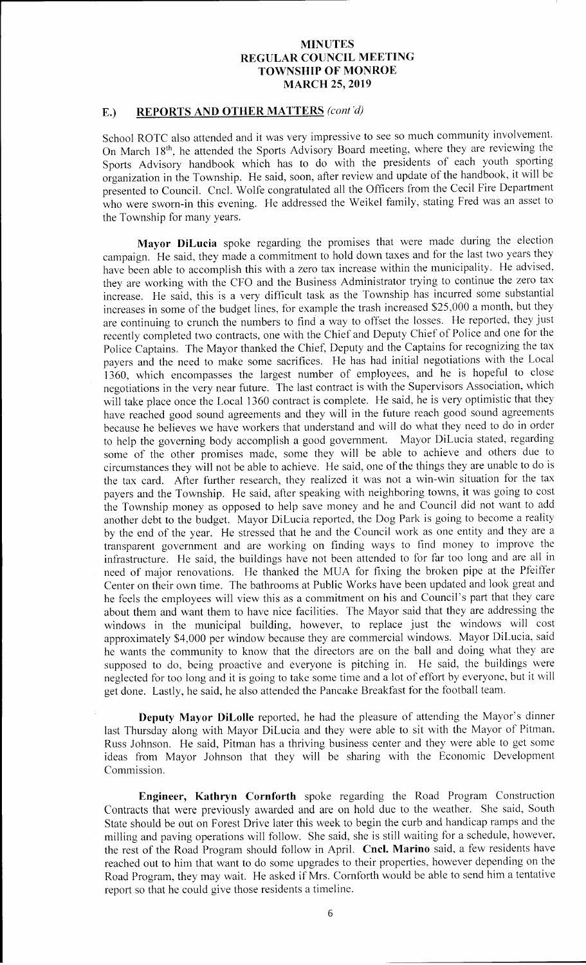# E.) REPORTS AND OTHER MATTERS (cont'd)

School ROTC also attended and it was very impressive to see so much community involvement. On March 18th, he attended the Sports Advisory Board meeting, where they are reviewing the Sports Advisory handbook which has to do with the presidents of each youth sporting organization in the Township. He said, soon, after review and update of the handbook, it will be presented to Council. Cncl. Wolfe congratulated all the Officers from the Cecil Fire Department who were sworn-in this evening. He addressed the Weikel family, stating Fred was an asset to the Township for many years.

Mayor DiLucia spoke regarding the promises that were made during the election campaign. He said, they made <sup>a</sup> commitment to hold down taxes and for the last two years they have been able to accomplish this with <sup>a</sup> zero tax increase within the municipality. He advised, they are working with the CFO and the Business Administrator trying to continue the zero tax increase. He said, this is a very difficult task as the Township has incurred some substantial increases in some of the budget lines, for example the trash increased \$25,000 a month, but they are continuing to crunch the numbers to find <sup>a</sup> way to offset the losses. He reported, they just recently completed two contracts, one with the Chief and Deputy Chief of Police and one for the Police Captains. The Mayor thanked the Chief, Deputy and the Captains for recognizing the tax payers and the need to make some sacrifices. He has had initial negotiations with the Local 1360, which encompasses the largest number of employees, and he is hopeful to close negotiations in the very near future. The last contract is with the Supervisors Association, which will take place once the Local 1360 contract is complete. He said, he is very optimistic that they have reached good sound agreements and they will in the future reach good sound agreements because he believes we have workers that understand and will do what they need to do in order to help the governing body accomplish <sup>a</sup> good government. Mayor DiLucia stated, regarding some of the other promises made, some they will be able to achieve and others due to circumstances they will not be able to achieve. He said, one of the things they are unable to do is the tax card. After further research, they realized it was not a win-win situation for the tax payers and the Township. He said, after speaking with neighboring towns, it was going to cost the Township money as opposed to help save money and he and Council did not want to add another debt to the budget. Mayor DiLucia reported, the Dog Park is going to become <sup>a</sup> reality by the end of the year. He stressed that he and the Council work as one entity and they are <sup>a</sup> transparent government and are working on finding ways to find money to improve the infrastructure. He said, the buildings have not been attended to for far too long and are all in need of major renovations. He thanked the MUA for fixing the broken pipe at the Pfeiffer Center on their own time. The bathrooms at Public Works have been updated and look great and he feels the employees will view this as a commitment on his and Council's part that they care about them and want them to have nice facilities. The Mayor said that they are addressing the windows in the municipal building, however, to replace just the windows will cost approximately \$4,000 per window because they are commercial windows. Mayor DiLucia, said he wants the community to know that the directors are on the ball and doing what they are supposed to do, being proactive and everyone is pitching in. He said, the buildings were neglected for too long and it is going to take some time and a lot of effort by everyone, but it will get done. Lastly, he said, he also attended the Pancake Breakfast for the football team.

Deputy Mayor DiLolle reported, he had the pleasure of attending the Mayor's dinner last Thursday along with Mayor DiLucia and they were able to sit with the Mayor of Pitman, Russ Johnson. He said, Pitman has <sup>a</sup> thriving business center and they were able to get some ideas from Mayor Johnson that they will be sharing with the Economic Development Commission.

Engineer, Kathryn Cornforth spoke regarding the Road Program Construction Contracts that were previously awarded and are on hold due to the weather. She said, South State should be out on Forest Drive later this week to begin the curb and handicap ramps and the milling and paving operations will follow. She said, she is still waiting for <sup>a</sup> schedule, however, the rest of the Road Program should follow in April. Cncl. Marino said, a few residents have reached out to him that want to do some upgrades to their properties, however depending on the Road Program, they may wait. He asked if Mrs. Cornforth would be able to send him <sup>a</sup> tentative report so that he could give those residents a timeline.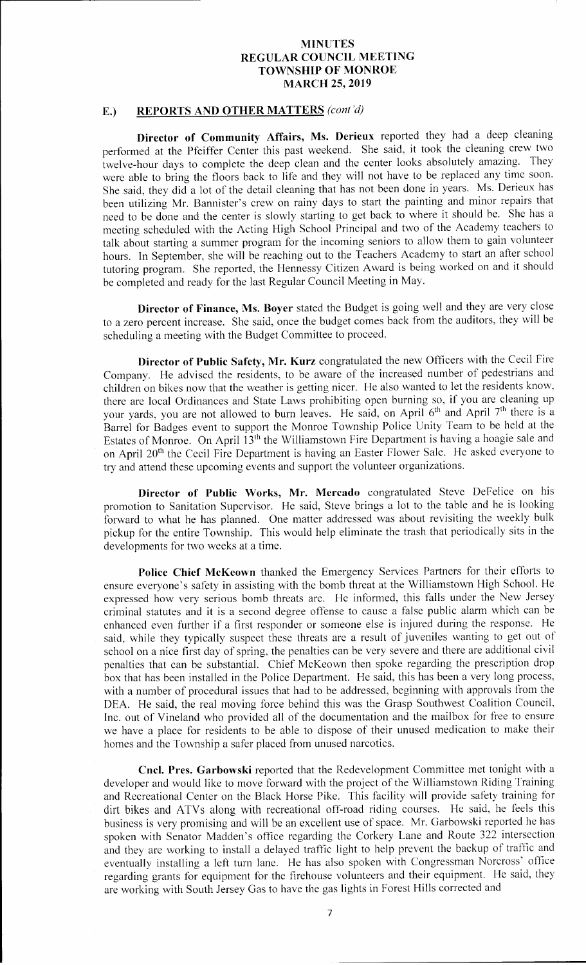# E.) REPORTS AND OTHER MATTERS (cont'd)

Director of Community Affairs, Ms. Derieux reported they had a deep cleaning performed at the Pfeiffer Center this past weekend. She said, it took the cleaning crew two twelve-hour days to complete the deep clean and the center looks absolutely amazing. They were able to bring the floors back to life and they will not have to be replaced any time soon. She said, they did <sup>a</sup> lot of the detail cleaning that has not been done in years. Ms. Derieux has been utilizing Mr. Bannister's crew on rainy days to start the painting and minor repairs that need to be done and the center is slowly starting to get back to where it should be. She has <sup>a</sup> meeting scheduled with the Acting High School Principal and two of the Academy teachers to talk about starting a summer program for the incoming seniors to allow them to gain volunteer hours. In September, she will be reaching out to the Teachers Academy to start an after school tutoring program. She reported, the Hennessy Citizen Award is being worked on and it should be completed and ready for the last Regular Council Meeting in May.

Director of Finance, Ms. Boyer stated the Budget is going well and they are very close to <sup>a</sup> zero percent increase. She said, once the budget comes back from the auditors, they will be scheduling a meeting with the Budget Committee to proceed.

Director of Public Safety, Mr. Kurz congratulated the new Officers with the Cecil Fire Company. He advised the residents, to be aware of the increased number of pedestrians and children on bikes now that the weather is getting nicer. He also wanted to let the residents know, there are local Ordinances and State Laws prohibiting open burning so, if you are cleaning up your yards, you are not allowed to burn leaves. He said, on April  $6<sup>th</sup>$  and April  $7<sup>th</sup>$  there is a Barrel for Badges event to support the Monroe Township Police Unity Team to be held at the Estates of Monroe. On April 13<sup>th</sup> the Williamstown Fire Department is having a hoagie sale and on April 20<sup>th</sup> the Cecil Fire Department is having an Easter Flower Sale. He asked everyone to try and attend these upcoming events and support the volunteer organizations.

Director of Public Works, Mr. Mercado congratulated Steve DeFelice on his promotion to Sanitation Supervisor. He said, Steve brings a lot to the table and he is looking forward to what he has planned. One matter addressed was about revisiting the weekly bulk pickup for the entire Township. This would help eliminate the trash that periodically sits in the developments for two weeks at a time.

Police Chief McKeown thanked the Emergency Services Partners for their efforts to ensure everyone's safety in assisting with the bomb threat at the Williamstown High School. He expressed how very serious bomb threats are. He informed, this falls under the New Jersey criminal statutes and it is <sup>a</sup> second degree offense to cause <sup>a</sup> false public alarm which can be enhanced even further if <sup>a</sup> first responder or someone else is injured during the response. He said, while they typically suspect these threats are <sup>a</sup> result of juveniles wanting to get out of school on <sup>a</sup> nice first day of spring, the penalties can be very severe and there are additional civil penalties that can be substantial. Chief McKeown then spoke regarding the prescription drop box that has been installed in the Police Department. He said, this has been <sup>a</sup> very long process, with <sup>a</sup> number of procedural issues that had to be addressed, beginning with approvals from the DEA. He said, the real moving force behind this was the Grasp Southwest Coalition Council, Inc. out of Vineland who provided all of the documentation and the mailbox for free to ensure we have <sup>a</sup> place for residents to be able to dispose of their unused medication to make their homes and the Township a safer placed from unused narcotics.

Cncl. Pres. Garbowski reported that the Redevelopment Committee met tonight with <sup>a</sup> developer and would like to move forward with the project of the Williamstown Riding Training and Recreational Center on the Black Horse Pike. This facility will provide safety training for dirt bikes and ATVs along with recreational off-road riding courses. He said, he feels this business is very promising and will be an excellent use of space. Mr. Garbowski reported he has spoken with Senator Madden's office regarding the Corkery Lane and Route 322 intersection and they are working to install <sup>a</sup> delayed traffic light to help prevent the backup of traffic and eventually installing <sup>a</sup> left turn lane. He has also spoken with Congressman Norcross' office regarding grants for equipment for the firehouse volunteers and their equipment. He said, they are working with South Jersey Gas to have the gas lights in Forest Hills corrected and